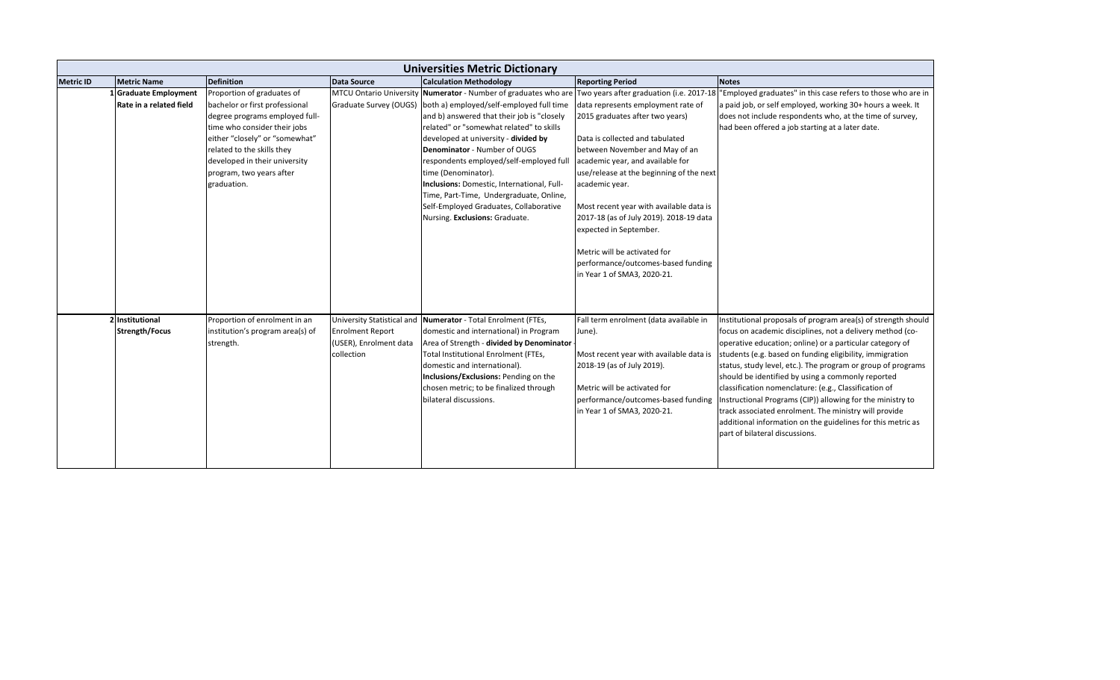| <b>Universities Metric Dictionary</b> |                                                  |                                                                                                                                                                                                                                                                            |                                                                 |                                                                                                                                                                                                                                                                                                                                                                                                                                                                            |                                                                                                                                                                                                                                                                                                                                                                                                                                                                   |                                                                                                                                                                                                                                                                                                                                                                                                                                                                                                                                                                                                                                                          |  |  |
|---------------------------------------|--------------------------------------------------|----------------------------------------------------------------------------------------------------------------------------------------------------------------------------------------------------------------------------------------------------------------------------|-----------------------------------------------------------------|----------------------------------------------------------------------------------------------------------------------------------------------------------------------------------------------------------------------------------------------------------------------------------------------------------------------------------------------------------------------------------------------------------------------------------------------------------------------------|-------------------------------------------------------------------------------------------------------------------------------------------------------------------------------------------------------------------------------------------------------------------------------------------------------------------------------------------------------------------------------------------------------------------------------------------------------------------|----------------------------------------------------------------------------------------------------------------------------------------------------------------------------------------------------------------------------------------------------------------------------------------------------------------------------------------------------------------------------------------------------------------------------------------------------------------------------------------------------------------------------------------------------------------------------------------------------------------------------------------------------------|--|--|
| <b>Metric ID</b>                      | <b>Metric Name</b>                               | <b>Definition</b>                                                                                                                                                                                                                                                          | <b>Data Source</b>                                              | <b>Calculation Methodology</b>                                                                                                                                                                                                                                                                                                                                                                                                                                             | <b>Reporting Period</b>                                                                                                                                                                                                                                                                                                                                                                                                                                           | <b>Notes</b>                                                                                                                                                                                                                                                                                                                                                                                                                                                                                                                                                                                                                                             |  |  |
|                                       | 1 Graduate Employment<br>Rate in a related field | Proportion of graduates of<br>bachelor or first professional<br>degree programs employed full-<br>time who consider their jobs<br>either "closely" or "somewhat"<br>related to the skills they<br>developed in their university<br>program, two years after<br>graduation. |                                                                 | Graduate Survey (OUGS)   both a) employed/self-employed full time<br>and b) answered that their job is "closely<br>related" or "somewhat related" to skills<br>developed at university - divided by<br>Denominator - Number of OUGS<br>respondents employed/self-employed full<br>time (Denominator).<br>Inclusions: Domestic, International, Full-<br>Time, Part-Time, Undergraduate, Online,<br>Self-Employed Graduates, Collaborative<br>Nursing. Exclusions: Graduate. | data represents employment rate of<br>2015 graduates after two years)<br>Data is collected and tabulated<br>between November and May of an<br>academic year, and available for<br>use/release at the beginning of the next<br>academic year.<br>Most recent year with available data is<br>2017-18 (as of July 2019). 2018-19 data<br>expected in September.<br>Metric will be activated for<br>performance/outcomes-based funding<br>in Year 1 of SMA3, 2020-21. | MTCU Ontario University Numerator - Number of graduates who are Two years after graduation (i.e. 2017-18  "Employed graduates" in this case refers to those who are in<br>a paid job, or self employed, working 30+ hours a week. It<br>does not include respondents who, at the time of survey,<br>had been offered a job starting at a later date.                                                                                                                                                                                                                                                                                                     |  |  |
|                                       | 2 Institutional<br>Strength/Focus                | Proportion of enrolment in an<br>institution's program area(s) of<br>strength.                                                                                                                                                                                             | <b>Enrolment Report</b><br>(USER), Enrolment data<br>collection | University Statistical and Numerator - Total Enrolment (FTEs,<br>domestic and international) in Program<br>Area of Strength - divided by Denominator<br>Total Institutional Enrolment (FTEs,<br>domestic and international).<br>Inclusions/Exclusions: Pending on the<br>chosen metric; to be finalized through<br>bilateral discussions.                                                                                                                                  | Fall term enrolment (data available in<br>June).<br>Most recent year with available data is<br>2018-19 (as of July 2019).<br>Metric will be activated for<br>performance/outcomes-based funding<br>in Year 1 of SMA3, 2020-21.                                                                                                                                                                                                                                    | Institutional proposals of program area(s) of strength should<br>focus on academic disciplines, not a delivery method (co-<br>operative education; online) or a particular category of<br>students (e.g. based on funding eligibility, immigration<br>status, study level, etc.). The program or group of programs<br>should be identified by using a commonly reported<br>classification nomenclature: (e.g., Classification of<br>Instructional Programs (CIP)) allowing for the ministry to<br>track associated enrolment. The ministry will provide<br>additional information on the guidelines for this metric as<br>part of bilateral discussions. |  |  |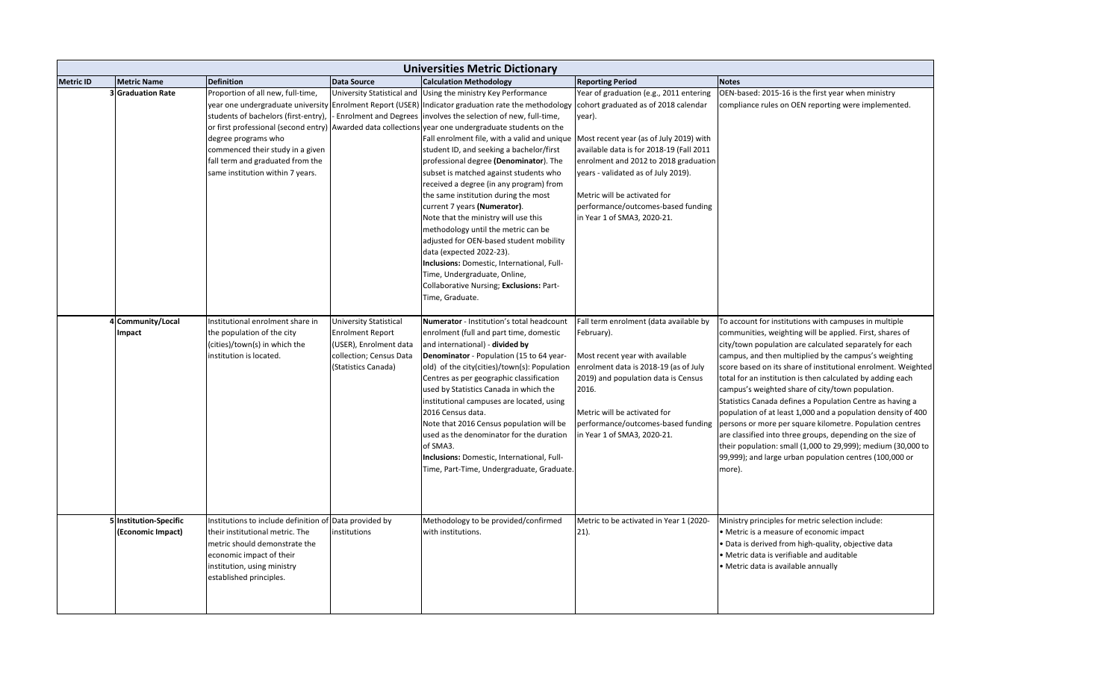| <b>Universities Metric Dictionary</b> |                                             |                                                                                                                                                                                                                  |                                                                                                                               |                                                                                                                                                                                                                                                                                                                                                                                                                                                                                                                                                                                                                                                                                                                                                                                                                                                                                                                                 |                                                                                                                                                                                                                                                                                                                                                                       |                                                                                                                                                                                                                                                                                                                                                                                                                                                                                                                                                                                                                                                                                                                                                                                                                      |
|---------------------------------------|---------------------------------------------|------------------------------------------------------------------------------------------------------------------------------------------------------------------------------------------------------------------|-------------------------------------------------------------------------------------------------------------------------------|---------------------------------------------------------------------------------------------------------------------------------------------------------------------------------------------------------------------------------------------------------------------------------------------------------------------------------------------------------------------------------------------------------------------------------------------------------------------------------------------------------------------------------------------------------------------------------------------------------------------------------------------------------------------------------------------------------------------------------------------------------------------------------------------------------------------------------------------------------------------------------------------------------------------------------|-----------------------------------------------------------------------------------------------------------------------------------------------------------------------------------------------------------------------------------------------------------------------------------------------------------------------------------------------------------------------|----------------------------------------------------------------------------------------------------------------------------------------------------------------------------------------------------------------------------------------------------------------------------------------------------------------------------------------------------------------------------------------------------------------------------------------------------------------------------------------------------------------------------------------------------------------------------------------------------------------------------------------------------------------------------------------------------------------------------------------------------------------------------------------------------------------------|
| <b>Metric ID</b>                      | <b>Metric Name</b>                          | <b>Definition</b>                                                                                                                                                                                                | <b>Data Source</b>                                                                                                            | <b>Calculation Methodology</b>                                                                                                                                                                                                                                                                                                                                                                                                                                                                                                                                                                                                                                                                                                                                                                                                                                                                                                  | <b>Reporting Period</b>                                                                                                                                                                                                                                                                                                                                               | <b>Notes</b>                                                                                                                                                                                                                                                                                                                                                                                                                                                                                                                                                                                                                                                                                                                                                                                                         |
|                                       | <b>3</b> Graduation Rate                    | Proportion of all new, full-time,<br>students of bachelors (first-entry),<br>degree programs who<br>commenced their study in a given<br>fall term and graduated from the<br>same institution within 7 years.     | Enrolment and Degrees                                                                                                         | University Statistical and Using the ministry Key Performance<br>year one undergraduate university Enrolment Report (USER) Indicator graduation rate the methodology<br>involves the selection of new, full-time,<br>or first professional (second entry) Awarded data collections year one undergraduate students on the<br>Fall enrolment file, with a valid and unique<br>student ID, and seeking a bachelor/first<br>professional degree (Denominator). The<br>subset is matched against students who<br>received a degree (in any program) from<br>the same institution during the most<br>current 7 years (Numerator).<br>Note that the ministry will use this<br>methodology until the metric can be<br>adjusted for OEN-based student mobility<br>data (expected 2022-23).<br>Inclusions: Domestic, International, Full-<br>Time, Undergraduate, Online,<br>Collaborative Nursing; Exclusions: Part-<br>Time, Graduate. | Year of graduation (e.g., 2011 entering<br>cohort graduated as of 2018 calendar<br>year).<br>Most recent year (as of July 2019) with<br>available data is for 2018-19 (Fall 2011<br>enrolment and 2012 to 2018 graduation<br>years - validated as of July 2019).<br>Metric will be activated for<br>performance/outcomes-based funding<br>in Year 1 of SMA3, 2020-21. | OEN-based: 2015-16 is the first year when ministry<br>compliance rules on OEN reporting were implemented.                                                                                                                                                                                                                                                                                                                                                                                                                                                                                                                                                                                                                                                                                                            |
|                                       | Community/Local<br>Impact                   | Institutional enrolment share in<br>the population of the city<br>(cities)/town(s) in which the<br>institution is located.                                                                                       | University Statistical<br><b>Enrolment Report</b><br>(USER), Enrolment data<br>collection; Census Data<br>(Statistics Canada) | Numerator - Institution's total headcount<br>enrolment (full and part time, domestic<br>and international) - divided by<br>Denominator - Population (15 to 64 year-<br>old) of the city(cities)/town(s): Population<br>Centres as per geographic classification<br>used by Statistics Canada in which the<br>institutional campuses are located, using<br>2016 Census data.<br>Note that 2016 Census population will be<br>used as the denominator for the duration<br>of SMA3.<br>Inclusions: Domestic, International, Full-<br>Time, Part-Time, Undergraduate, Graduate.                                                                                                                                                                                                                                                                                                                                                      | Fall term enrolment (data available by<br>February).<br>Most recent year with available<br>enrolment data is 2018-19 (as of July<br>2019) and population data is Census<br>2016.<br>Metric will be activated for<br>performance/outcomes-based funding<br>in Year 1 of SMA3, 2020-21.                                                                                 | To account for institutions with campuses in multiple<br>communities, weighting will be applied. First, shares of<br>city/town population are calculated separately for each<br>campus, and then multiplied by the campus's weighting<br>score based on its share of institutional enrolment. Weighted<br>total for an institution is then calculated by adding each<br>campus's weighted share of city/town population.<br>Statistics Canada defines a Population Centre as having a<br>population of at least 1,000 and a population density of 400<br>persons or more per square kilometre. Population centres<br>are classified into three groups, depending on the size of<br>their population: small (1,000 to 29,999); medium (30,000 to<br>99,999); and large urban population centres (100,000 or<br>more). |
|                                       | 5 Institution-Specific<br>(Economic Impact) | Institutions to include definition of Data provided by<br>their institutional metric. The<br>metric should demonstrate the<br>economic impact of their<br>institution, using ministry<br>established principles. | institutions                                                                                                                  | Methodology to be provided/confirmed<br>with institutions.                                                                                                                                                                                                                                                                                                                                                                                                                                                                                                                                                                                                                                                                                                                                                                                                                                                                      | Metric to be activated in Year 1 (2020-<br>$21$ ).                                                                                                                                                                                                                                                                                                                    | Ministry principles for metric selection include:<br>Metric is a measure of economic impact<br>Data is derived from high-quality, objective data<br>Metric data is verifiable and auditable<br>Metric data is available annually                                                                                                                                                                                                                                                                                                                                                                                                                                                                                                                                                                                     |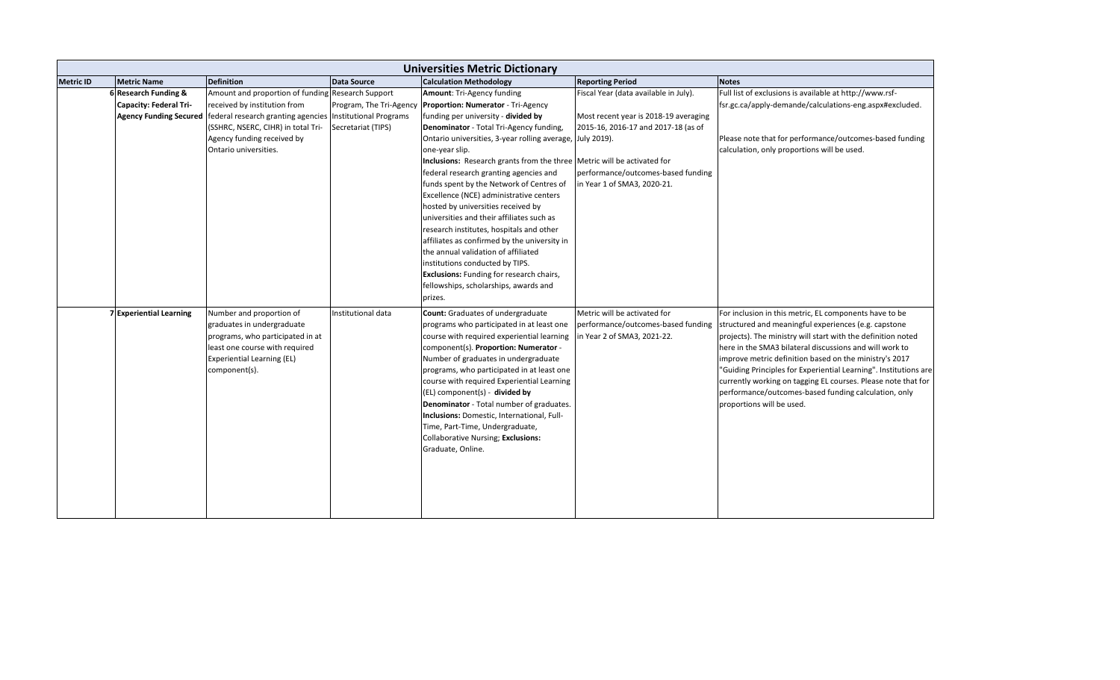| <b>Universities Metric Dictionary</b>                 |                                                                                                                                                                                                                                                                        |                                               |                                                                                                                                                                                                                                                                                                                                                                                                                                                                                                                                                                                                                                                                                                                             |                                                                                                                                                                                            |                                                                                                                                                                                                                                                                                                                                                                                                                                                                                                                               |  |  |
|-------------------------------------------------------|------------------------------------------------------------------------------------------------------------------------------------------------------------------------------------------------------------------------------------------------------------------------|-----------------------------------------------|-----------------------------------------------------------------------------------------------------------------------------------------------------------------------------------------------------------------------------------------------------------------------------------------------------------------------------------------------------------------------------------------------------------------------------------------------------------------------------------------------------------------------------------------------------------------------------------------------------------------------------------------------------------------------------------------------------------------------------|--------------------------------------------------------------------------------------------------------------------------------------------------------------------------------------------|-------------------------------------------------------------------------------------------------------------------------------------------------------------------------------------------------------------------------------------------------------------------------------------------------------------------------------------------------------------------------------------------------------------------------------------------------------------------------------------------------------------------------------|--|--|
| <b>Metric ID</b><br><b>Metric Name</b>                | <b>Definition</b>                                                                                                                                                                                                                                                      | <b>Data Source</b>                            | <b>Calculation Methodology</b>                                                                                                                                                                                                                                                                                                                                                                                                                                                                                                                                                                                                                                                                                              | <b>Reporting Period</b>                                                                                                                                                                    | <b>Notes</b>                                                                                                                                                                                                                                                                                                                                                                                                                                                                                                                  |  |  |
| 6 Research Funding &<br><b>Capacity: Federal Tri-</b> | Amount and proportion of funding Research Support<br>received by institution from<br>Agency Funding Secured   federal research granting agencies   Institutional Programs<br>(SSHRC, NSERC, CIHR) in total Tri-<br>Agency funding received by<br>Ontario universities. | Program, The Tri-Agency<br>Secretariat (TIPS) | Amount: Tri-Agency funding<br>Proportion: Numerator - Tri-Agency<br>funding per university - divided by<br>Denominator - Total Tri-Agency funding,<br>Ontario universities, 3-year rolling average, July 2019).<br>one-year slip.<br>Inclusions: Research grants from the three Metric will be activated for<br>federal research granting agencies and<br>funds spent by the Network of Centres of<br>Excellence (NCE) administrative centers<br>hosted by universities received by<br>universities and their affiliates such as<br>research institutes, hospitals and other<br>affiliates as confirmed by the university in                                                                                                | Fiscal Year (data available in July).<br>Most recent year is 2018-19 averaging<br>2015-16, 2016-17 and 2017-18 (as of<br>performance/outcomes-based funding<br>in Year 1 of SMA3, 2020-21. | Full list of exclusions is available at http://www.rsf-<br>fsr.gc.ca/apply-demande/calculations-eng.aspx#excluded.<br>Please note that for performance/outcomes-based funding<br>calculation, only proportions will be used.                                                                                                                                                                                                                                                                                                  |  |  |
| <b>7</b> Experiential Learning                        | Number and proportion of<br>graduates in undergraduate<br>programs, who participated in at<br>least one course with required<br><b>Experiential Learning (EL)</b><br>component(s).                                                                                     | Institutional data                            | the annual validation of affiliated<br>institutions conducted by TIPS.<br><b>Exclusions:</b> Funding for research chairs,<br>fellowships, scholarships, awards and<br>prizes.<br><b>Count:</b> Graduates of undergraduate<br>programs who participated in at least one<br>course with required experiential learning<br>component(s). Proportion: Numerator -<br>Number of graduates in undergraduate<br>programs, who participated in at least one<br>course with required Experiential Learning<br>(EL) component(s) - divided by<br>Denominator - Total number of graduates.<br>Inclusions: Domestic, International, Full-<br>Time, Part-Time, Undergraduate,<br>Collaborative Nursing; Exclusions:<br>Graduate, Online. | Metric will be activated for<br>performance/outcomes-based funding<br>in Year 2 of SMA3, 2021-22.                                                                                          | For inclusion in this metric, EL components have to be<br>structured and meaningful experiences (e.g. capstone<br>projects). The ministry will start with the definition noted<br>here in the SMA3 bilateral discussions and will work to<br>improve metric definition based on the ministry's 2017<br>"Guiding Principles for Experiential Learning". Institutions are<br>currently working on tagging EL courses. Please note that for<br>performance/outcomes-based funding calculation, only<br>proportions will be used. |  |  |